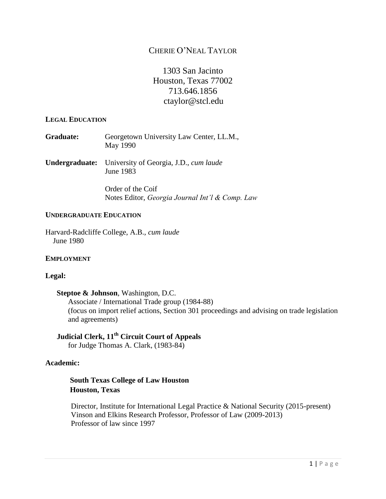# CHERIE O'NEAL TAYLOR

# 1303 San Jacinto Houston, Texas 77002 713.646.1856 ctaylor@stcl.edu

#### **LEGAL EDUCATION**

- **Graduate:** Georgetown University Law Center, LL.M., May 1990
- **Undergraduate:** University of Georgia, J.D., *cum laude*  June 1983

 Order of the Coif Notes Editor, *Georgia Journal Int'l & Comp. Law*

### **UNDERGRADUATE EDUCATION**

Harvard-Radcliffe College, A.B., *cum laude*  June 1980

### **EMPLOYMENT**

### **Legal:**

 **Steptoe & Johnson**, Washington, D.C. Associate / International Trade group (1984-88) (focus on import relief actions, Section 301 proceedings and advising on trade legislation and agreements)

# **Judicial Clerk, 11th Circuit Court of Appeals** for Judge Thomas A. Clark, (1983-84)

### **Academic:**

# **South Texas College of Law Houston Houston, Texas**

Director, Institute for International Legal Practice & National Security (2015-present) Vinson and Elkins Research Professor, Professor of Law (2009-2013) Professor of law since 1997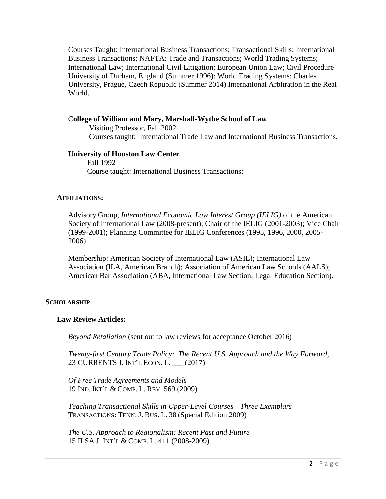Courses Taught: International Business Transactions; Transactional Skills: International Business Transactions; NAFTA: Trade and Transactions; World Trading Systems; International Law; International Civil Litigation; European Union Law; Civil Procedure University of Durham, England (Summer 1996): World Trading Systems: Charles University, Prague, Czech Republic (Summer 2014) International Arbitration in the Real World.

## C**ollege of William and Mary, Marshall-Wythe School of Law**

 Visiting Professor, Fall 2002 Courses taught: International Trade Law and International Business Transactions.

### **University of Houston Law Center**

Fall 1992 Course taught: International Business Transactions;

#### **AFFILIATIONS:**

Advisory Group, *International Economic Law Interest Group (IELIG)* of the American Society of International Law (2008-present); Chair of the IELIG (2001-2003); Vice Chair (1999-2001); Planning Committee for IELIG Conferences (1995, 1996, 2000, 2005- 2006)

Membership: American Society of International Law (ASIL); International Law Association (ILA, American Branch); Association of American Law Schools (AALS); American Bar Association (ABA, International Law Section, Legal Education Section).

#### **SCHOLARSHIP**

#### **Law Review Articles:**

*Beyond Retaliation* (sent out to law reviews for acceptance October 2016)

*Twenty-first Century Trade Policy: The Recent U.S. Approach and the Way Forward*, 23 CURRENTS J. INT'L ECON. L. \_\_\_ (2017)

*Of Free Trade Agreements and Models* 19 IND. INT'L & COMP. L. REV. 569 (2009)

*Teaching Transactional Skills in Upper-Level Courses—Three Exemplars* TRANSACTIONS: TENN. J. BUS. L. 38 (Special Edition 2009)

*The U.S. Approach to Regionalism: Recent Past and Future* 15 ILSA J. INT'L & COMP. L. 411 (2008-2009)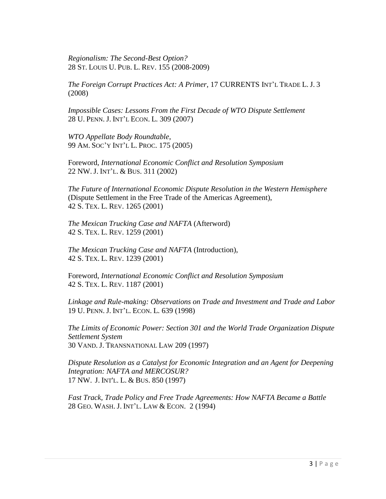*Regionalism: The Second-Best Option?* 28 ST. LOUIS U. PUB. L. REV. 155 (2008-2009)

*The Foreign Corrupt Practices Act: A Primer*, 17 CURRENTS INT'L TRADE L. J. 3 (2008)

*Impossible Cases: Lessons From the First Decade of WTO Dispute Settlement* 28 U. PENN. J. INT'L ECON. L. 309 (2007)

*WTO Appellate Body Roundtable*, 99 AM. SOC'Y INT'L L. PROC. 175 (2005)

Foreword, *International Economic Conflict and Resolution Symposium* 22 NW.J. INT'L. & BUS. 311 (2002)

*The Future of International Economic Dispute Resolution in the Western Hemisphere*  (Dispute Settlement in the Free Trade of the Americas Agreement), 42 S. TEX. L. REV. 1265 (2001)

*The Mexican Trucking Case and NAFTA* (Afterword) 42 S. TEX. L. REV. 1259 (2001)

*The Mexican Trucking Case and NAFTA* (Introduction), 42 S. TEX. L. REV. 1239 (2001)

Foreword, *International Economic Conflict and Resolution Symposium* 42 S. TEX. L. REV. 1187 (2001)

*Linkage and Rule-making: Observations on Trade and Investment and Trade and Labor* 19 U. PENN. J. INT'L. ECON. L. 639 (1998)

*The Limits of Economic Power: Section 301 and the World Trade Organization Dispute Settlement System* 30 VAND. J. TRANSNATIONAL LAW 209 (1997)

*Dispute Resolution as a Catalyst for Economic Integration and an Agent for Deepening Integration: NAFTA and MERCOSUR?* 17 NW. J. INT'L. L. & BUS. 850 (1997)

*Fast Track, Trade Policy and Free Trade Agreements: How NAFTA Became a Battle* 28 GEO. WASH. J. INT'L. LAW & ECON. 2 (1994)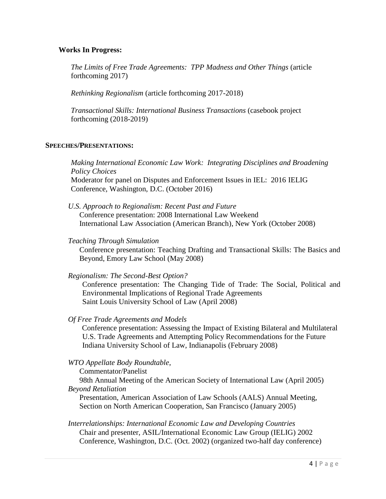## **Works In Progress:**

*The Limits of Free Trade Agreements: TPP Madness and Other Things* (article forthcoming 2017)

*Rethinking Regionalism* (article forthcoming 2017-2018)

*Transactional Skills: International Business Transactions* (casebook project forthcoming (2018-2019)

## **SPEECHES/PRESENTATIONS:**

*Making International Economic Law Work: Integrating Disciplines and Broadening Policy Choices* Moderator for panel on Disputes and Enforcement Issues in IEL: 2016 IELIG Conference, Washington, D.C. (October 2016)

*U.S. Approach to Regionalism: Recent Past and Future* Conference presentation: 2008 International Law Weekend International Law Association (American Branch), New York (October 2008)

## *Teaching Through Simulation*

Conference presentation: Teaching Drafting and Transactional Skills: The Basics and Beyond, Emory Law School (May 2008)

### *Regionalism: The Second-Best Option?*

Conference presentation: The Changing Tide of Trade: The Social, Political and Environmental Implications of Regional Trade Agreements Saint Louis University School of Law (April 2008)

*Of Free Trade Agreements and Models*

Conference presentation: Assessing the Impact of Existing Bilateral and Multilateral U.S. Trade Agreements and Attempting Policy Recommendations for the Future Indiana University School of Law, Indianapolis (February 2008)

# *WTO Appellate Body Roundtable*,

Commentator/Panelist

98th Annual Meeting of the American Society of International Law (April 2005) *Beyond Retaliation*

Presentation, American Association of Law Schools (AALS) Annual Meeting, Section on North American Cooperation, San Francisco (January 2005)

*Interrelationships: International Economic Law and Developing Countries* Chair and presenter, ASIL/International Economic Law Group (IELIG) 2002 Conference, Washington, D.C. (Oct. 2002) (organized two-half day conference)